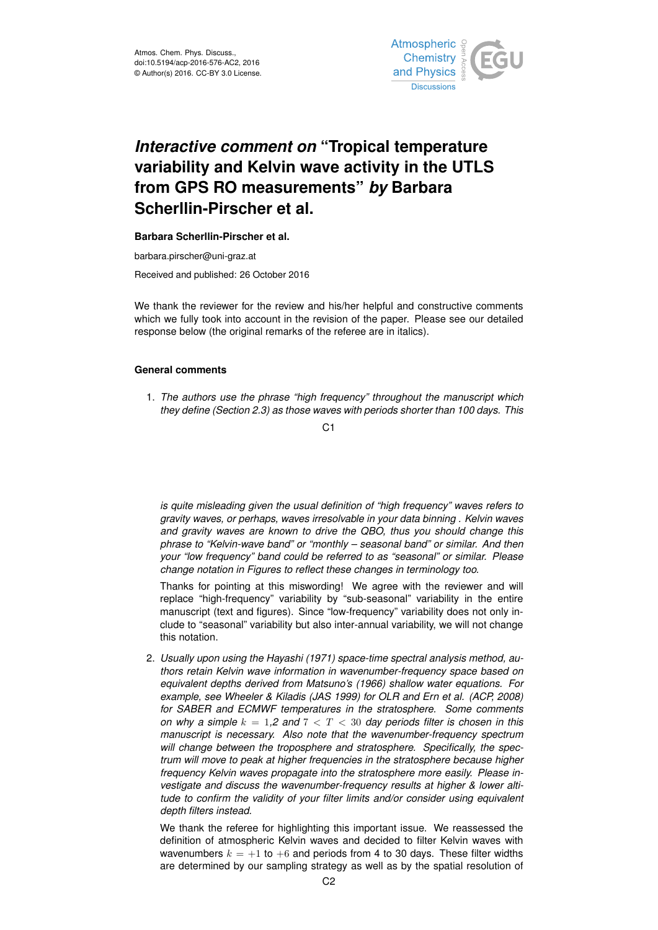

# *Interactive comment on* **"Tropical temperature variability and Kelvin wave activity in the UTLS from GPS RO measurements"** *by* **Barbara Scherllin-Pirscher et al.**

## **Barbara Scherllin-Pirscher et al.**

barbara.pirscher@uni-graz.at

Received and published: 26 October 2016

We thank the reviewer for the review and his/her helpful and constructive comments which we fully took into account in the revision of the paper. Please see our detailed response below (the original remarks of the referee are in italics).

# **General comments**

1. *The authors use the phrase "high frequency" throughout the manuscript which they define (Section 2.3) as those waves with periods shorter than 100 days. This*

C<sub>1</sub>

*is quite misleading given the usual definition of "high frequency" waves refers to gravity waves, or perhaps, waves irresolvable in your data binning . Kelvin waves and gravity waves are known to drive the QBO, thus you should change this phrase to "Kelvin-wave band" or "monthly – seasonal band" or similar. And then your "low frequency" band could be referred to as "seasonal" or similar. Please change notation in Figures to reflect these changes in terminology too.*

Thanks for pointing at this miswording! We agree with the reviewer and will replace "high-frequency" variability by "sub-seasonal" variability in the entire manuscript (text and figures). Since "low-frequency" variability does not only include to "seasonal" variability but also inter-annual variability, we will not change this notation.

2. *Usually upon using the Hayashi (1971) space-time spectral analysis method, authors retain Kelvin wave information in wavenumber-frequency space based on equivalent depths derived from Matsuno's (1966) shallow water equations. For example, see Wheeler & Kiladis (JAS 1999) for OLR and Ern et al. (ACP, 2008) for SABER and ECMWF temperatures in the stratosphere. Some comments on why a simple* k = 1*,2 and* 7 < T < 30 *day periods filter is chosen in this manuscript is necessary. Also note that the wavenumber-frequency spectrum will change between the troposphere and stratosphere. Specifically, the spectrum will move to peak at higher frequencies in the stratosphere because higher frequency Kelvin waves propagate into the stratosphere more easily. Please investigate and discuss the wavenumber-frequency results at higher & lower altitude to confirm the validity of your filter limits and/or consider using equivalent depth filters instead.*

We thank the referee for highlighting this important issue. We reassessed the definition of atmospheric Kelvin waves and decided to filter Kelvin waves with wavenumbers  $k = +1$  to  $+6$  and periods from 4 to 30 days. These filter widths are determined by our sampling strategy as well as by the spatial resolution of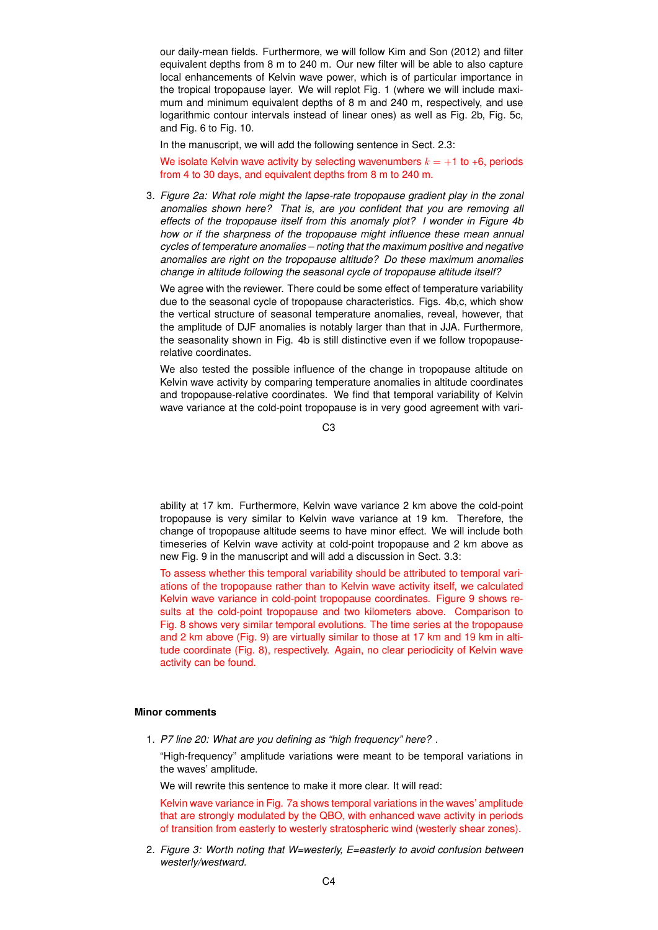our daily-mean fields. Furthermore, we will follow Kim and Son (2012) and filter equivalent depths from 8 m to 240 m. Our new filter will be able to also capture local enhancements of Kelvin wave power, which is of particular importance in the tropical tropopause layer. We will replot Fig. 1 (where we will include maximum and minimum equivalent depths of 8 m and 240 m, respectively, and use logarithmic contour intervals instead of linear ones) as well as Fig. 2b, Fig. 5c, and Fig. 6 to Fig. 10.

In the manuscript, we will add the following sentence in Sect. 2.3:

We isolate Kelvin wave activity by selecting wavenumbers  $k = +1$  to +6, periods from 4 to 30 days, and equivalent depths from 8 m to 240 m.

3. *Figure 2a: What role might the lapse-rate tropopause gradient play in the zonal anomalies shown here? That is, are you confident that you are removing all effects of the tropopause itself from this anomaly plot? I wonder in Figure 4b how or if the sharpness of the tropopause might influence these mean annual cycles of temperature anomalies – noting that the maximum positive and negative anomalies are right on the tropopause altitude? Do these maximum anomalies change in altitude following the seasonal cycle of tropopause altitude itself?*

We agree with the reviewer. There could be some effect of temperature variability due to the seasonal cycle of tropopause characteristics. Figs. 4b,c, which show the vertical structure of seasonal temperature anomalies, reveal, however, that the amplitude of DJF anomalies is notably larger than that in JJA. Furthermore, the seasonality shown in Fig. 4b is still distinctive even if we follow tropopauserelative coordinates.

We also tested the possible influence of the change in tropopause altitude on Kelvin wave activity by comparing temperature anomalies in altitude coordinates and tropopause-relative coordinates. We find that temporal variability of Kelvin wave variance at the cold-point tropopause is in very good agreement with vari-

C3

ability at 17 km. Furthermore, Kelvin wave variance 2 km above the cold-point tropopause is very similar to Kelvin wave variance at 19 km. Therefore, the change of tropopause altitude seems to have minor effect. We will include both timeseries of Kelvin wave activity at cold-point tropopause and 2 km above as new Fig. 9 in the manuscript and will add a discussion in Sect. 3.3:

To assess whether this temporal variability should be attributed to temporal variations of the tropopause rather than to Kelvin wave activity itself, we calculated Kelvin wave variance in cold-point tropopause coordinates. Figure 9 shows results at the cold-point tropopause and two kilometers above. Comparison to Fig. 8 shows very similar temporal evolutions. The time series at the tropopause and 2 km above (Fig. 9) are virtually similar to those at 17 km and 19 km in altitude coordinate (Fig. 8), respectively. Again, no clear periodicity of Kelvin wave activity can be found.

#### **Minor comments**

1. *P7 line 20: What are you defining as "high frequency" here?* .

"High-frequency" amplitude variations were meant to be temporal variations in the waves' amplitude.

We will rewrite this sentence to make it more clear. It will read:

Kelvin wave variance in Fig. 7a shows temporal variations in the waves' amplitude that are strongly modulated by the QBO, with enhanced wave activity in periods of transition from easterly to westerly stratospheric wind (westerly shear zones).

2. *Figure 3: Worth noting that W=westerly, E=easterly to avoid confusion between westerly/westward.*